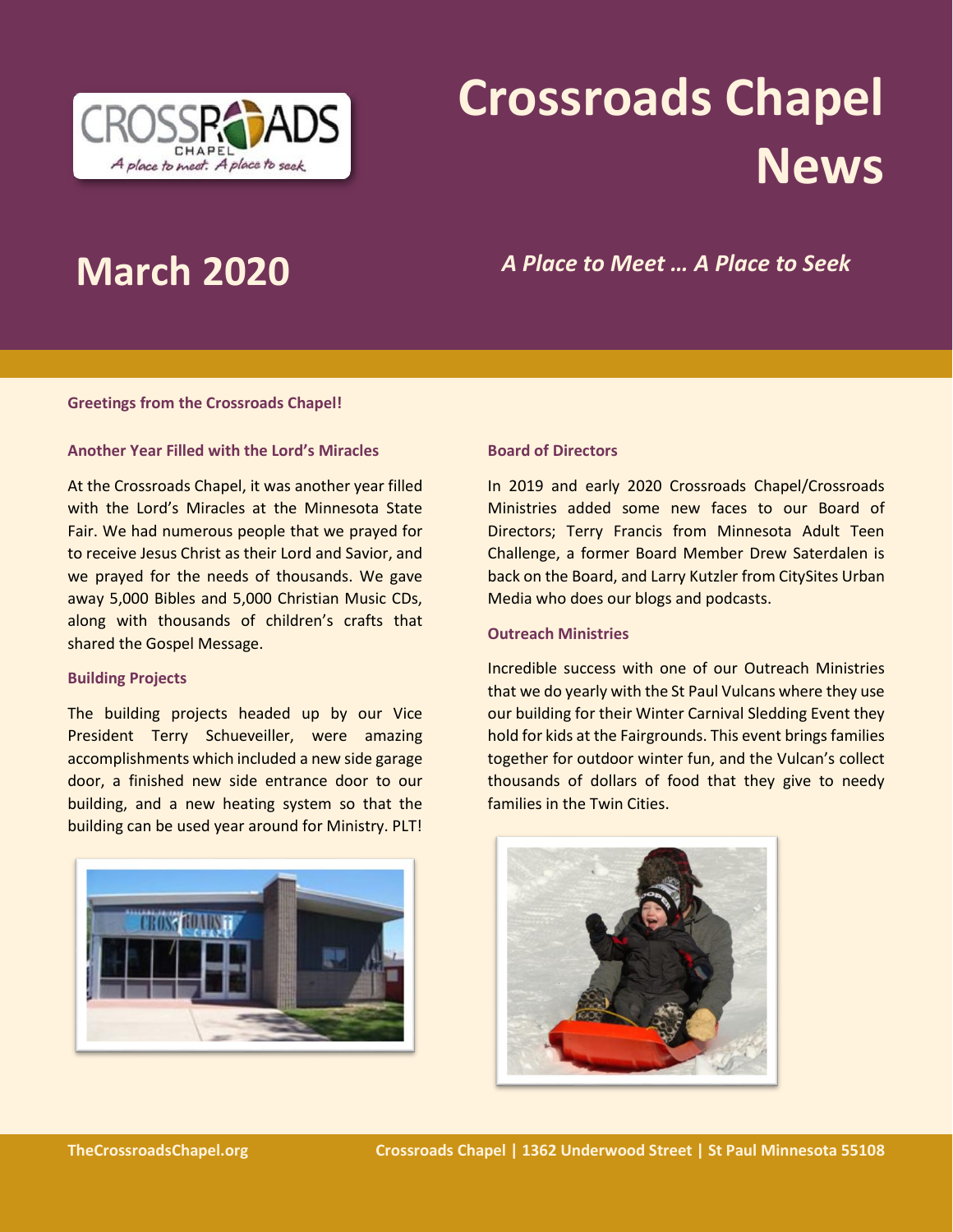

# **Crossroads Chapel News**

**March 2020** *A Place to Meet … A Place to Seek*

### **Greetings from the Crossroads Chapel!**

### **Another Year Filled with the Lord's Miracles**

At the Crossroads Chapel, it was another year filled with the Lord's Miracles at the Minnesota State Fair. We had numerous people that we prayed for to receive Jesus Christ as their Lord and Savior, and we prayed for the needs of thousands. We gave away 5,000 Bibles and 5,000 Christian Music CDs, along with thousands of children's crafts that shared the Gospel Message.

#### **Building Projects**

The building projects headed up by our Vice President Terry Schueveiller, were amazing accomplishments which included a new side garage door, a finished new side entrance door to our building, and a new heating system so that the building can be used year around for Ministry. PLT!



#### **Board of Directors**

In 2019 and early 2020 Crossroads Chapel/Crossroads Ministries added some new faces to our Board of Directors; Terry Francis from Minnesota Adult Teen Challenge, a former Board Member Drew Saterdalen is back on the Board, and Larry Kutzler from CitySites Urban Media who does our blogs and podcasts.

## **Outreach Ministries**

Incredible success with one of our Outreach Ministries that we do yearly with the St Paul Vulcans where they use our building for their Winter Carnival Sledding Event they hold for kids at the Fairgrounds. This event brings families together for outdoor winter fun, and the Vulcan's collect thousands of dollars of food that they give to needy families in the Twin Cities.